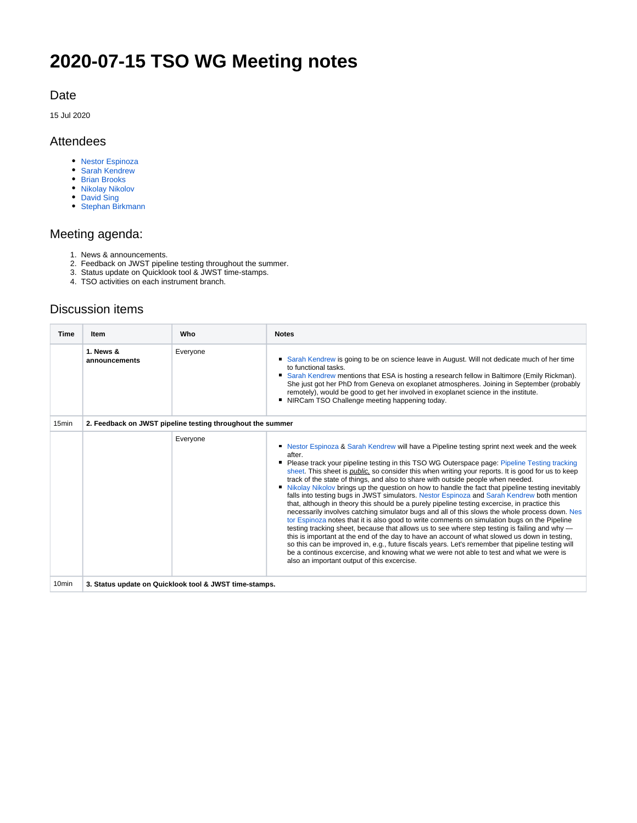# **2020-07-15 TSO WG Meeting notes**

#### Date

15 Jul 2020

#### Attendees

- [Nestor Espinoza](https://outerspace.stsci.edu/display/~nespinoza)
- [Sarah Kendrew](https://outerspace.stsci.edu/display/~skendrew)
- [Brian Brooks](https://outerspace.stsci.edu/display/~bbrooks)
- [Nikolay Nikolov](https://outerspace.stsci.edu/display/~nnikolov)
- [David Sing](https://outerspace.stsci.edu/display/~sing) • [Stephan Birkmann](https://outerspace.stsci.edu/display/~birkmann)

## Meeting agenda:

- 1. News & announcements.
- 2. Feedback on JWST pipeline testing throughout the summer.
- 3. Status update on Quicklook tool & JWST time-stamps.
- 4. TSO activities on each instrument branch.

### Discussion items

| <b>Time</b>       | Item                                                       | Who      | <b>Notes</b>                                                                                                                                                                                                                                                                                                                                                                                                                                                                                                                                                                                                                                                                                                                                                                                                                                                                                                                                                                                                                                                                                                                                                                                                                                                                                                                                                    |
|-------------------|------------------------------------------------------------|----------|-----------------------------------------------------------------------------------------------------------------------------------------------------------------------------------------------------------------------------------------------------------------------------------------------------------------------------------------------------------------------------------------------------------------------------------------------------------------------------------------------------------------------------------------------------------------------------------------------------------------------------------------------------------------------------------------------------------------------------------------------------------------------------------------------------------------------------------------------------------------------------------------------------------------------------------------------------------------------------------------------------------------------------------------------------------------------------------------------------------------------------------------------------------------------------------------------------------------------------------------------------------------------------------------------------------------------------------------------------------------|
|                   | 1. News &<br>announcements                                 | Everyone | Sarah Kendrew is going to be on science leave in August. Will not dedicate much of her time<br>to functional tasks.<br>• Sarah Kendrew mentions that ESA is hosting a research fellow in Baltimore (Emily Rickman).<br>She just got her PhD from Geneva on exoplanet atmospheres. Joining in September (probably<br>remotely), would be good to get her involved in exoplanet science in the institute.<br>" NIRCam TSO Challenge meeting happening today.                                                                                                                                                                                                                                                                                                                                                                                                                                                                                                                                                                                                                                                                                                                                                                                                                                                                                                      |
| 15 <sub>min</sub> | 2. Feedback on JWST pipeline testing throughout the summer |          |                                                                                                                                                                                                                                                                                                                                                                                                                                                                                                                                                                                                                                                                                                                                                                                                                                                                                                                                                                                                                                                                                                                                                                                                                                                                                                                                                                 |
|                   |                                                            | Everyone | Nestor Espinoza & Sarah Kendrew will have a Pipeline testing sprint next week and the week<br>after.<br>Please track your pipeline testing in this TSO WG Outerspace page: Pipeline Testing tracking<br>sheet. This sheet is <i>public</i> , so consider this when writing your reports. It is good for us to keep<br>track of the state of things, and also to share with outside people when needed.<br>• Nikolay Nikolov brings up the question on how to handle the fact that pipeline testing inevitably<br>falls into testing bugs in JWST simulators. Nestor Espinoza and Sarah Kendrew both mention<br>that, although in theory this should be a purely pipeline testing excercise, in practice this<br>necessarily involves catching simulator bugs and all of this slows the whole process down. Nes<br>tor Espinoza notes that it is also good to write comments on simulation bugs on the Pipeline<br>testing tracking sheet, because that allows us to see where step testing is failing and why —<br>this is important at the end of the day to have an account of what slowed us down in testing,<br>so this can be improved in, e.g., future fiscals years. Let's remember that pipeline testing will<br>be a continous excercise, and knowing what we were not able to test and what we were is<br>also an important output of this excercise. |
| 10 <sub>min</sub> | 3. Status update on Quicklook tool & JWST time-stamps.     |          |                                                                                                                                                                                                                                                                                                                                                                                                                                                                                                                                                                                                                                                                                                                                                                                                                                                                                                                                                                                                                                                                                                                                                                                                                                                                                                                                                                 |